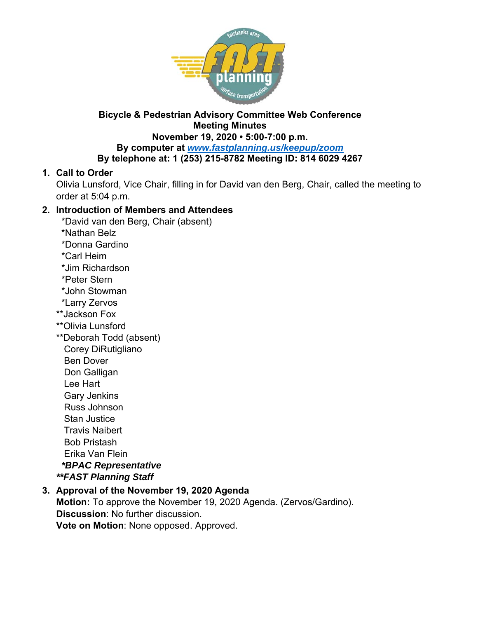

## **Bicycle & Pedestrian Advisory Committee Web Conference Meeting Minutes**

**November 19, 2020 • 5:00-7:00 p.m. By computer at** *www.fastplanning.us/keepup/zoom* **By telephone at: 1 (253) 215-8782 Meeting ID: 814 6029 4267** 

## **1. Call to Order**

Olivia Lunsford, Vice Chair, filling in for David van den Berg, Chair, called the meeting to order at 5:04 p.m.

## **2. Introduction of Members and Attendees**

- \*David van den Berg, Chair (absent)
- \*Nathan Belz
- \*Donna Gardino
- \*Carl Heim
- \*Jim Richardson
- \*Peter Stern
- \*John Stowman
- \*Larry Zervos
- \*\*Jackson Fox
- \*\*Olivia Lunsford
- \*\*Deborah Todd (absent)
	- Corey DiRutigliano
	- Ben Dover
	- Don Galligan
	- Lee Hart
	- Gary Jenkins
	- Russ Johnson
	- Stan Justice
	- Travis Naibert
- Bob Pristash

Erika Van Flein

 *\*BPAC Representative* 

*\*\*FAST Planning Staff* 

#### **3. Approval of the November 19, 2020 Agenda Motion:** To approve the November 19, 2020 Agenda. (Zervos/Gardino). **Discussion**: No further discussion.

**Vote on Motion**: None opposed. Approved.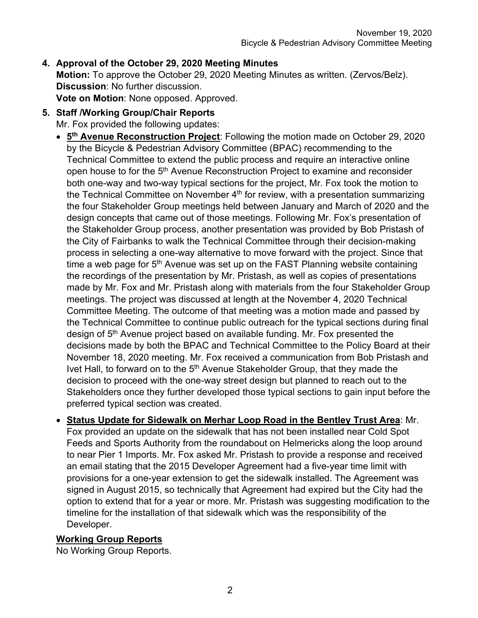# **4. Approval of the October 29, 2020 Meeting Minutes**

**Motion:** To approve the October 29, 2020 Meeting Minutes as written. (Zervos/Belz). **Discussion**: No further discussion.

**Vote on Motion**: None opposed. Approved.

**5. Staff /Working Group/Chair Reports** 

Mr. Fox provided the following updates:

- **5th Avenue Reconstruction Project**: Following the motion made on October 29, 2020 by the Bicycle & Pedestrian Advisory Committee (BPAC) recommending to the Technical Committee to extend the public process and require an interactive online open house to for the 5<sup>th</sup> Avenue Reconstruction Project to examine and reconsider both one-way and two-way typical sections for the project, Mr. Fox took the motion to the Technical Committee on November  $4<sup>th</sup>$  for review, with a presentation summarizing the four Stakeholder Group meetings held between January and March of 2020 and the design concepts that came out of those meetings. Following Mr. Fox's presentation of the Stakeholder Group process, another presentation was provided by Bob Pristash of the City of Fairbanks to walk the Technical Committee through their decision-making process in selecting a one-way alternative to move forward with the project. Since that time a web page for  $5<sup>th</sup>$  Avenue was set up on the FAST Planning website containing the recordings of the presentation by Mr. Pristash, as well as copies of presentations made by Mr. Fox and Mr. Pristash along with materials from the four Stakeholder Group meetings. The project was discussed at length at the November 4, 2020 Technical Committee Meeting. The outcome of that meeting was a motion made and passed by the Technical Committee to continue public outreach for the typical sections during final design of 5<sup>th</sup> Avenue project based on available funding. Mr. Fox presented the decisions made by both the BPAC and Technical Committee to the Policy Board at their November 18, 2020 meeting. Mr. Fox received a communication from Bob Pristash and Ivet Hall, to forward on to the  $5<sup>th</sup>$  Avenue Stakeholder Group, that they made the decision to proceed with the one-way street design but planned to reach out to the Stakeholders once they further developed those typical sections to gain input before the preferred typical section was created.
- **Status Update for Sidewalk on Merhar Loop Road in the Bentley Trust Area**: Mr. Fox provided an update on the sidewalk that has not been installed near Cold Spot Feeds and Sports Authority from the roundabout on Helmericks along the loop around to near Pier 1 Imports. Mr. Fox asked Mr. Pristash to provide a response and received an email stating that the 2015 Developer Agreement had a five-year time limit with provisions for a one-year extension to get the sidewalk installed. The Agreement was signed in August 2015, so technically that Agreement had expired but the City had the option to extend that for a year or more. Mr. Pristash was suggesting modification to the timeline for the installation of that sidewalk which was the responsibility of the Developer.

## **Working Group Reports**

No Working Group Reports.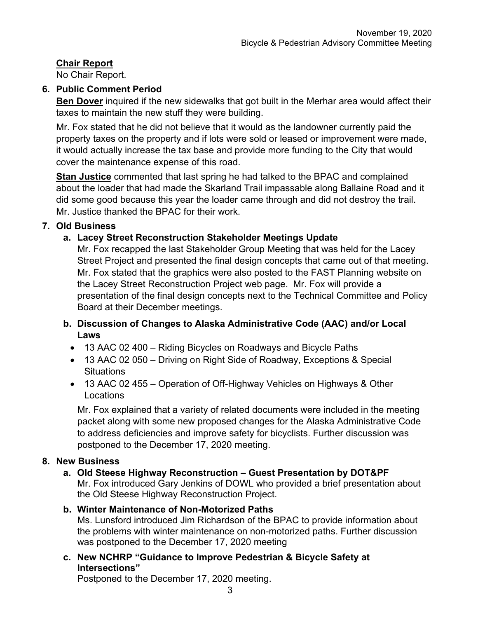## **Chair Report**

No Chair Report.

## **6. Public Comment Period**

**Ben Dover** inquired if the new sidewalks that got built in the Merhar area would affect their taxes to maintain the new stuff they were building.

Mr. Fox stated that he did not believe that it would as the landowner currently paid the property taxes on the property and if lots were sold or leased or improvement were made, it would actually increase the tax base and provide more funding to the City that would cover the maintenance expense of this road.

**Stan Justice** commented that last spring he had talked to the BPAC and complained about the loader that had made the Skarland Trail impassable along Ballaine Road and it did some good because this year the loader came through and did not destroy the trail. Mr. Justice thanked the BPAC for their work.

## **7. Old Business**

## **a. Lacey Street Reconstruction Stakeholder Meetings Update**

Mr. Fox recapped the last Stakeholder Group Meeting that was held for the Lacey Street Project and presented the final design concepts that came out of that meeting. Mr. Fox stated that the graphics were also posted to the FAST Planning website on the Lacey Street Reconstruction Project web page. Mr. Fox will provide a presentation of the final design concepts next to the Technical Committee and Policy Board at their December meetings.

## **b. Discussion of Changes to Alaska Administrative Code (AAC) and/or Local Laws**

- 13 AAC 02 400 Riding Bicycles on Roadways and Bicycle Paths
- 13 AAC 02 050 Driving on Right Side of Roadway, Exceptions & Special **Situations**
- 13 AAC 02 455 Operation of Off-Highway Vehicles on Highways & Other **Locations**

Mr. Fox explained that a variety of related documents were included in the meeting packet along with some new proposed changes for the Alaska Administrative Code to address deficiencies and improve safety for bicyclists. Further discussion was postponed to the December 17, 2020 meeting.

## **8. New Business**

## **a. Old Steese Highway Reconstruction – Guest Presentation by DOT&PF**

Mr. Fox introduced Gary Jenkins of DOWL who provided a brief presentation about the Old Steese Highway Reconstruction Project.

## **b. Winter Maintenance of Non-Motorized Paths**

Ms. Lunsford introduced Jim Richardson of the BPAC to provide information about the problems with winter maintenance on non-motorized paths. Further discussion was postponed to the December 17, 2020 meeting

## **c. New NCHRP "Guidance to Improve Pedestrian & Bicycle Safety at Intersections"**

Postponed to the December 17, 2020 meeting.